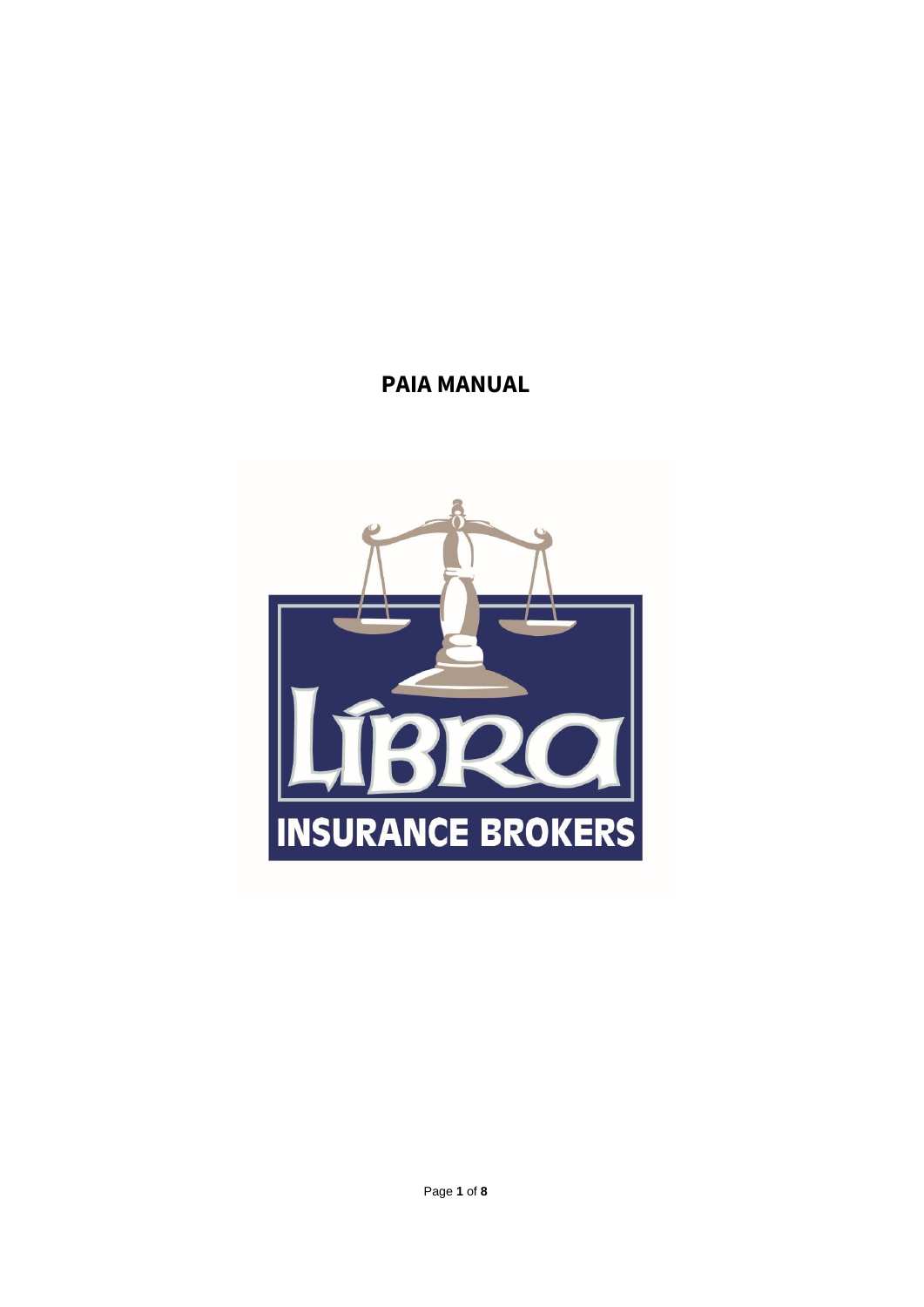# **PAIA MANUAL**

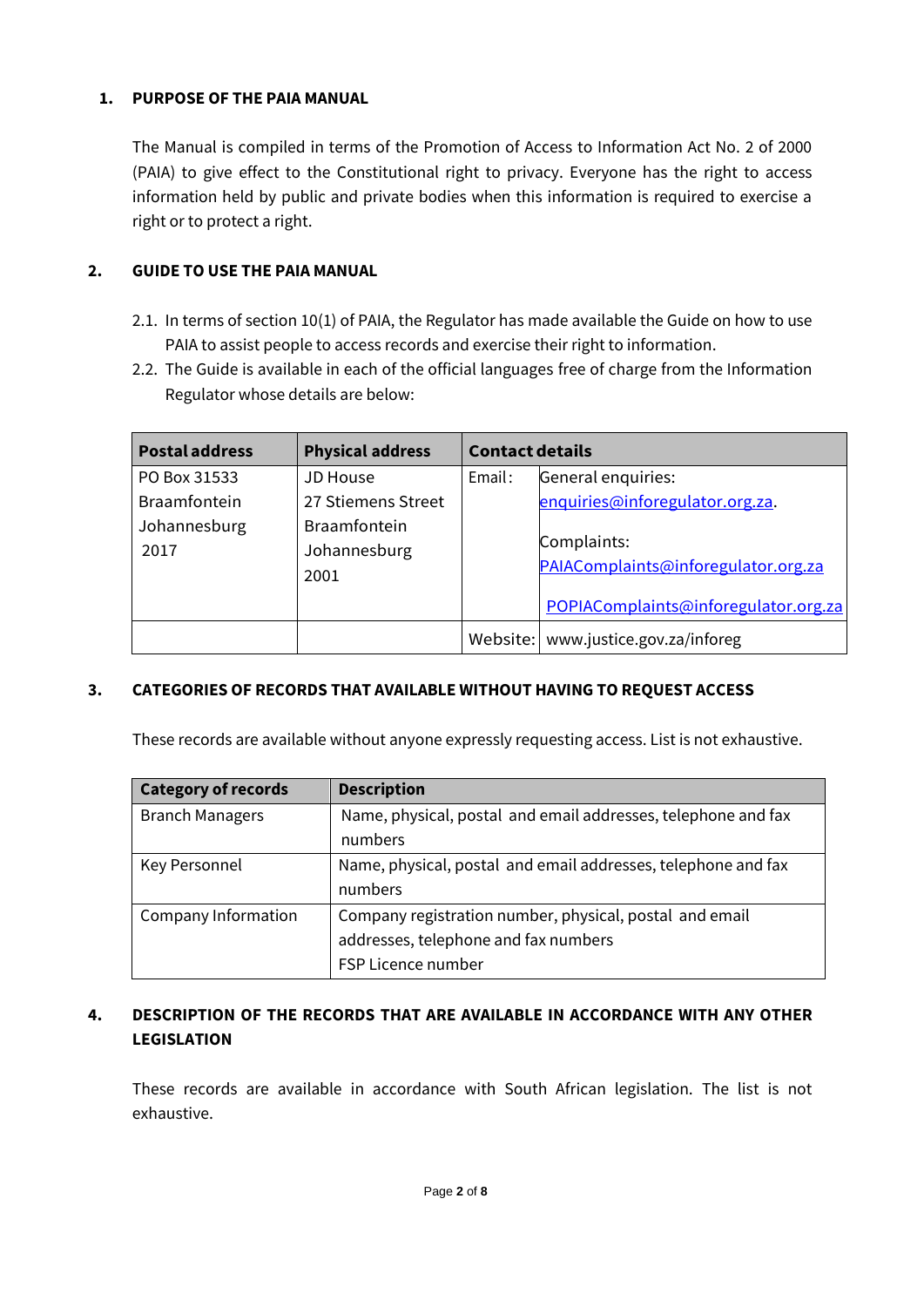## **1. PURPOSE OF THE PAIA MANUAL**

The Manual is compiled in terms of the Promotion of Access to Information Act No. 2 of 2000 (PAIA) to give effect to the Constitutional right to privacy. Everyone has the right to access information held by public and private bodies when this information is required to exercise a right or to protect a right.

### **2. GUIDE TO USE THE PAIA MANUAL**

- 2.1. In terms of section 10(1) of PAIA, the Regulator has made available the Guide on how to use PAIA to assist people to access records and exercise their right to information.
- 2.2. The Guide is available in each of the official languages free of charge from the Information Regulator whose details are below:

| <b>Postal address</b> | <b>Physical address</b>                     | <b>Contact details</b> |                                                                                            |
|-----------------------|---------------------------------------------|------------------------|--------------------------------------------------------------------------------------------|
| PO Box 31533          | <b>JD House</b>                             | Email:                 | General enquiries:                                                                         |
| <b>Braamfontein</b>   | 27 Stiemens Street                          |                        | enquiries@inforegulator.org.za.                                                            |
| Johannesburg<br>2017  | <b>Braamfontein</b><br>Johannesburg<br>2001 |                        | Complaints:<br>PAIAComplaints@inforegulator.org.za<br>POPIAComplaints@inforegulator.org.za |
|                       |                                             | Website:               | www.justice.gov.za/inforeg                                                                 |

## **3. CATEGORIES OF RECORDS THAT AVAILABLE WITHOUT HAVING TO REQUEST ACCESS**

These records are available without anyone expressly requesting access. List is not exhaustive.

| <b>Category of records</b> | <b>Description</b>                                            |
|----------------------------|---------------------------------------------------------------|
| <b>Branch Managers</b>     | Name, physical, postal and email addresses, telephone and fax |
|                            | numbers                                                       |
| Key Personnel              | Name, physical, postal and email addresses, telephone and fax |
|                            | numbers                                                       |
| Company Information        | Company registration number, physical, postal and email       |
|                            | addresses, telephone and fax numbers                          |
|                            | FSP Licence number                                            |

## **4. DESCRIPTION OF THE RECORDS THAT ARE AVAILABLE IN ACCORDANCE WITH ANY OTHER LEGISLATION**

These records are available in accordance with South African legislation. The list is not exhaustive.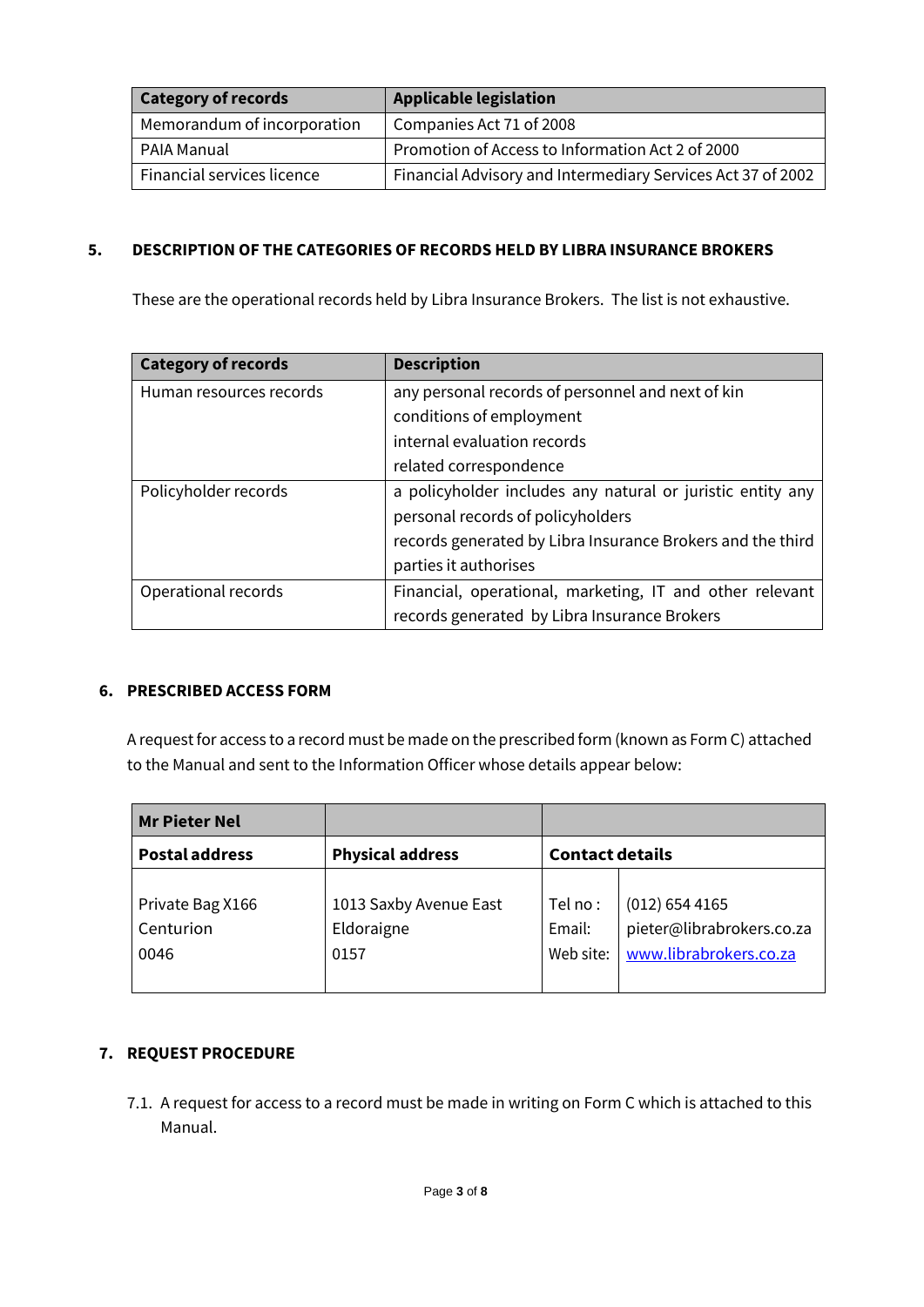| <b>Category of records</b>  | <b>Applicable legislation</b>                               |  |  |  |
|-----------------------------|-------------------------------------------------------------|--|--|--|
| Memorandum of incorporation | Companies Act 71 of 2008                                    |  |  |  |
| PAIA Manual                 | Promotion of Access to Information Act 2 of 2000            |  |  |  |
| Financial services licence  | Financial Advisory and Intermediary Services Act 37 of 2002 |  |  |  |

## **5. DESCRIPTION OF THE CATEGORIES OF RECORDS HELD BY LIBRA INSURANCE BROKERS**

These are the operational records held by Libra Insurance Brokers. The list is not exhaustive.

| <b>Category of records</b> | <b>Description</b>                                         |  |  |  |
|----------------------------|------------------------------------------------------------|--|--|--|
| Human resources records    | any personal records of personnel and next of kin          |  |  |  |
|                            | conditions of employment                                   |  |  |  |
|                            | internal evaluation records                                |  |  |  |
|                            | related correspondence                                     |  |  |  |
| Policyholder records       | a policyholder includes any natural or juristic entity any |  |  |  |
|                            | personal records of policyholders                          |  |  |  |
|                            | records generated by Libra Insurance Brokers and the third |  |  |  |
|                            | parties it authorises                                      |  |  |  |
| Operational records        | Financial, operational, marketing, IT and other relevant   |  |  |  |
|                            | records generated by Libra Insurance Brokers               |  |  |  |

#### **6. PRESCRIBED ACCESS FORM**

A request for access to a record must be made on the prescribed form (known as Form C) attached to the Manual and sent to the Information Officer whose details appear below:

| <b>Mr Pieter Nel</b>                             |                                              |                                 |                                                                         |  |
|--------------------------------------------------|----------------------------------------------|---------------------------------|-------------------------------------------------------------------------|--|
| <b>Postal address</b><br><b>Physical address</b> |                                              | <b>Contact details</b>          |                                                                         |  |
| Private Bag X166<br>Centurion<br>0046            | 1013 Saxby Avenue East<br>Eldoraigne<br>0157 | Tel no :<br>Email:<br>Web site: | $(012)$ 654 4165<br>pieter@librabrokers.co.za<br>www.librabrokers.co.za |  |

## **7. REQUEST PROCEDURE**

7.1. A request for access to a record must be made in writing on Form C which is attached to this Manual.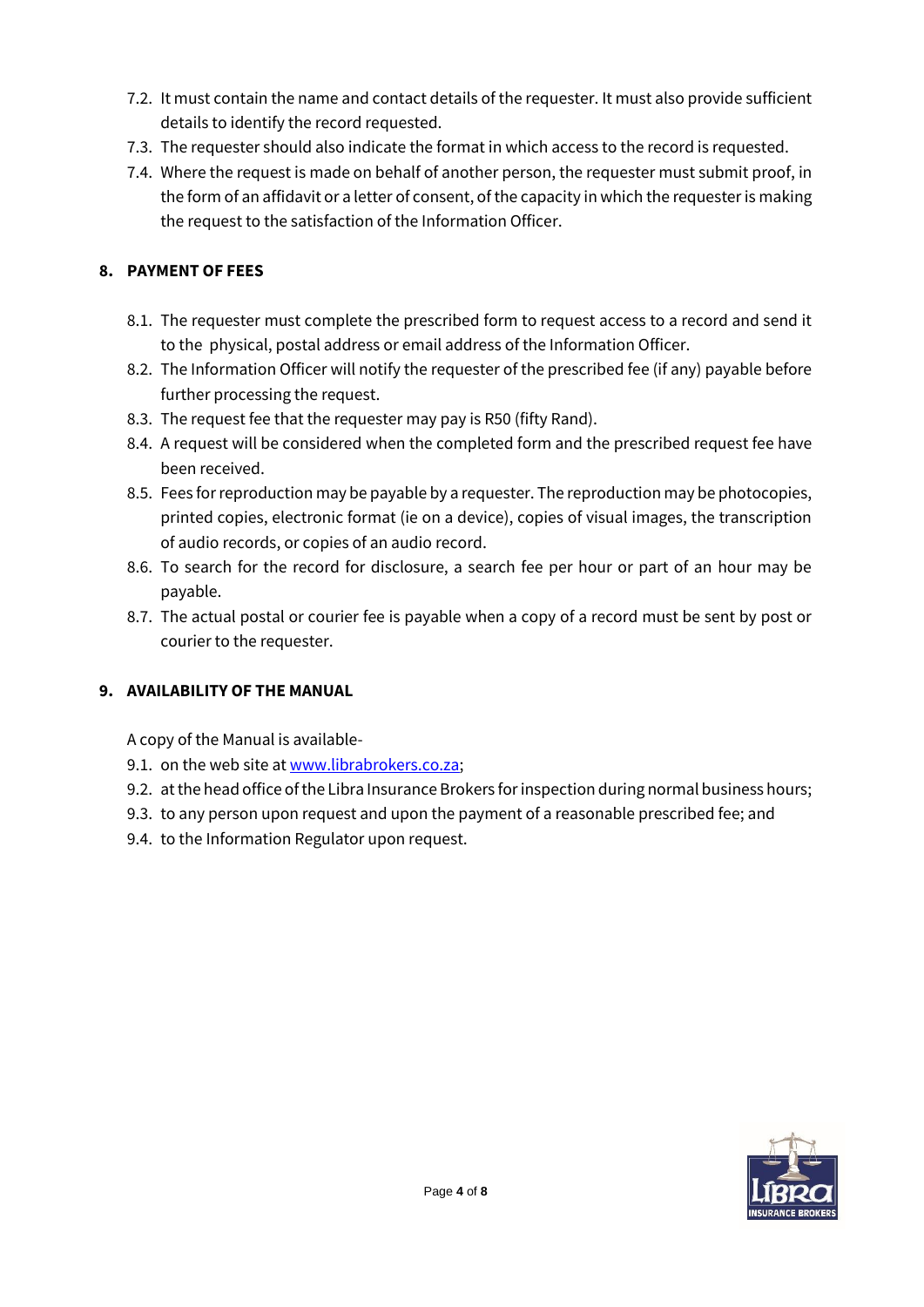- 7.2. It must contain the name and contact details of the requester. It must also provide sufficient details to identify the record requested.
- 7.3. The requester should also indicate the format in which access to the record is requested.
- 7.4. Where the request is made on behalf of another person, the requester must submit proof, in the form of an affidavit or a letter of consent, of the capacity in which the requester is making the request to the satisfaction of the Information Officer.

# **8. PAYMENT OF FEES**

- 8.1. The requester must complete the prescribed form to request access to a record and send it to the physical, postal address or email address of the Information Officer.
- 8.2. The Information Officer will notify the requester of the prescribed fee (if any) payable before further processing the request.
- 8.3. The request fee that the requester may pay is R50 (fifty Rand).
- 8.4. A request will be considered when the completed form and the prescribed request fee have been received.
- 8.5. Fees for reproduction may be payable by a requester. The reproduction may be photocopies, printed copies, electronic format (ie on a device), copies of visual images, the transcription of audio records, or copies of an audio record.
- 8.6. To search for the record for disclosure, a search fee per hour or part of an hour may be payable.
- 8.7. The actual postal or courier fee is payable when a copy of a record must be sent by post or courier to the requester.

# **9. AVAILABILITY OF THE MANUAL**

A copy of the Manual is available-

- 9.1. on the web site a[t www.librabrokers.co.za;](http://www.librabrokers.co.za/)
- 9.2. at the head office of the Libra Insurance Brokers for inspection during normal business hours;
- 9.3. to any person upon request and upon the payment of a reasonable prescribed fee; and
- 9.4. to the Information Regulator upon request.

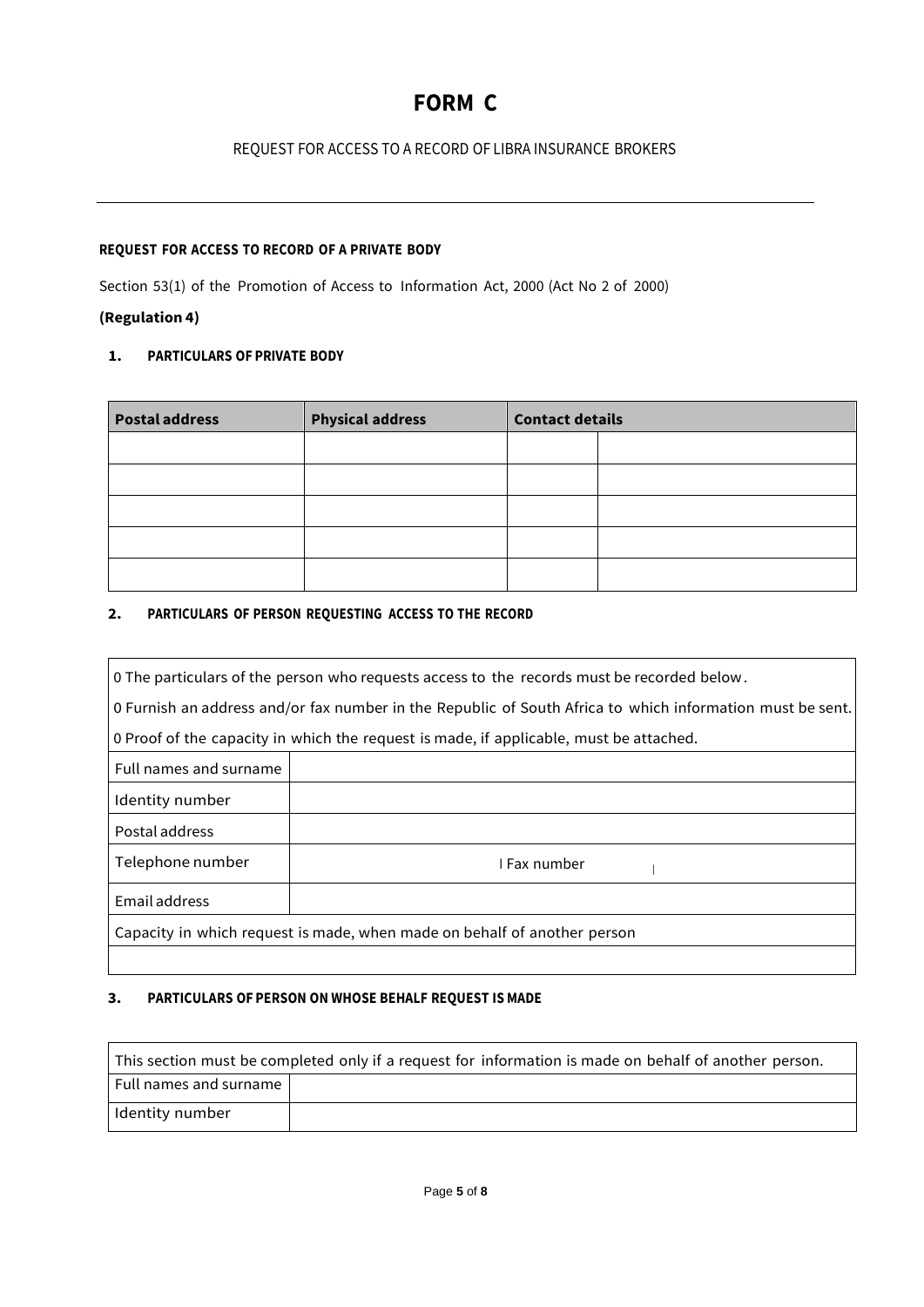# **FORM C**

#### REQUEST FOR ACCESS TO A RECORD OF LIBRA INSURANCE BROKERS

#### **REQUEST FOR ACCESS TO RECORD OF A PRIVATE BODY**

Section 53(1) of the Promotion of Access to Information Act, 2000 (Act No 2 of 2000)

# **(Regulation 4)**

#### **1. PARTICULARS OF PRIVATE BODY**

| <b>Postal address</b> | <b>Physical address</b> | <b>Contact details</b> |  |
|-----------------------|-------------------------|------------------------|--|
|                       |                         |                        |  |
|                       |                         |                        |  |
|                       |                         |                        |  |
|                       |                         |                        |  |
|                       |                         |                        |  |

#### **2. PARTICULARS OF PERSON REQUESTING ACCESS TO THE RECORD**

| $\vert$ 0 The particulars of the person who requests access to the records must be recorded below. |                                                                                                           |  |  |  |  |
|----------------------------------------------------------------------------------------------------|-----------------------------------------------------------------------------------------------------------|--|--|--|--|
|                                                                                                    | 0 Furnish an address and/or fax number in the Republic of South Africa to which information must be sent. |  |  |  |  |
|                                                                                                    | 0 Proof of the capacity in which the request is made, if applicable, must be attached.                    |  |  |  |  |
| Full names and surname                                                                             |                                                                                                           |  |  |  |  |
| Identity number                                                                                    |                                                                                                           |  |  |  |  |
| Postal address                                                                                     |                                                                                                           |  |  |  |  |
| Telephone number                                                                                   | I Fax number                                                                                              |  |  |  |  |
| Email address                                                                                      |                                                                                                           |  |  |  |  |
| Capacity in which request is made, when made on behalf of another person                           |                                                                                                           |  |  |  |  |
|                                                                                                    |                                                                                                           |  |  |  |  |

#### **3. PARTICULARS OF PERSON ON WHOSE BEHALF REQUEST IS MADE**

| This section must be completed only if a request for information is made on behalf of another person. |  |  |  |  |  |
|-------------------------------------------------------------------------------------------------------|--|--|--|--|--|
| Full names and surname                                                                                |  |  |  |  |  |
| Identity number                                                                                       |  |  |  |  |  |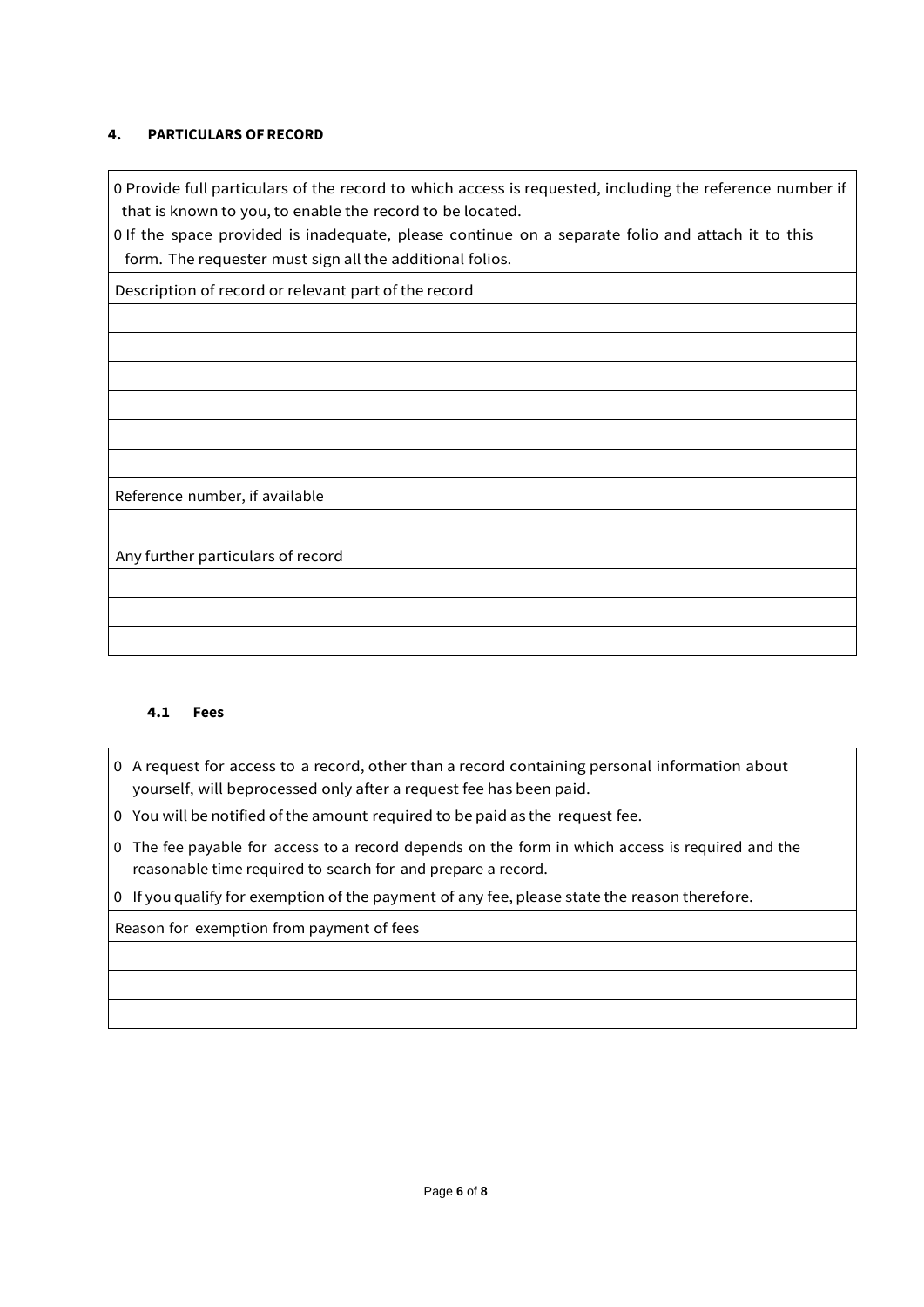#### **4. PARTICULARS OFRECORD**

0 Provide full particulars of the record to which access is requested, including the reference number if that is known to you, to enable the record to be located.

0 If the space provided is inadequate, please continue on a separate folio and attach it to this form. The requester must sign all the additional folios.

Description of record or relevant part of the record

Reference number, if available

Any further particulars of record

#### **4.1 Fees**

- 0 A request for access to a record, other than a record containing personal information about yourself, will beprocessed only after a request fee has been paid.
- 0 You will be notified ofthe amount required to be paid as the request fee.
- 0 The fee payable for access to a record depends on the form in which access is required and the reasonable time required to search for and prepare a record.

0 If you qualify for exemption of the payment of any fee, please state the reason therefore.

Reason for exemption from payment of fees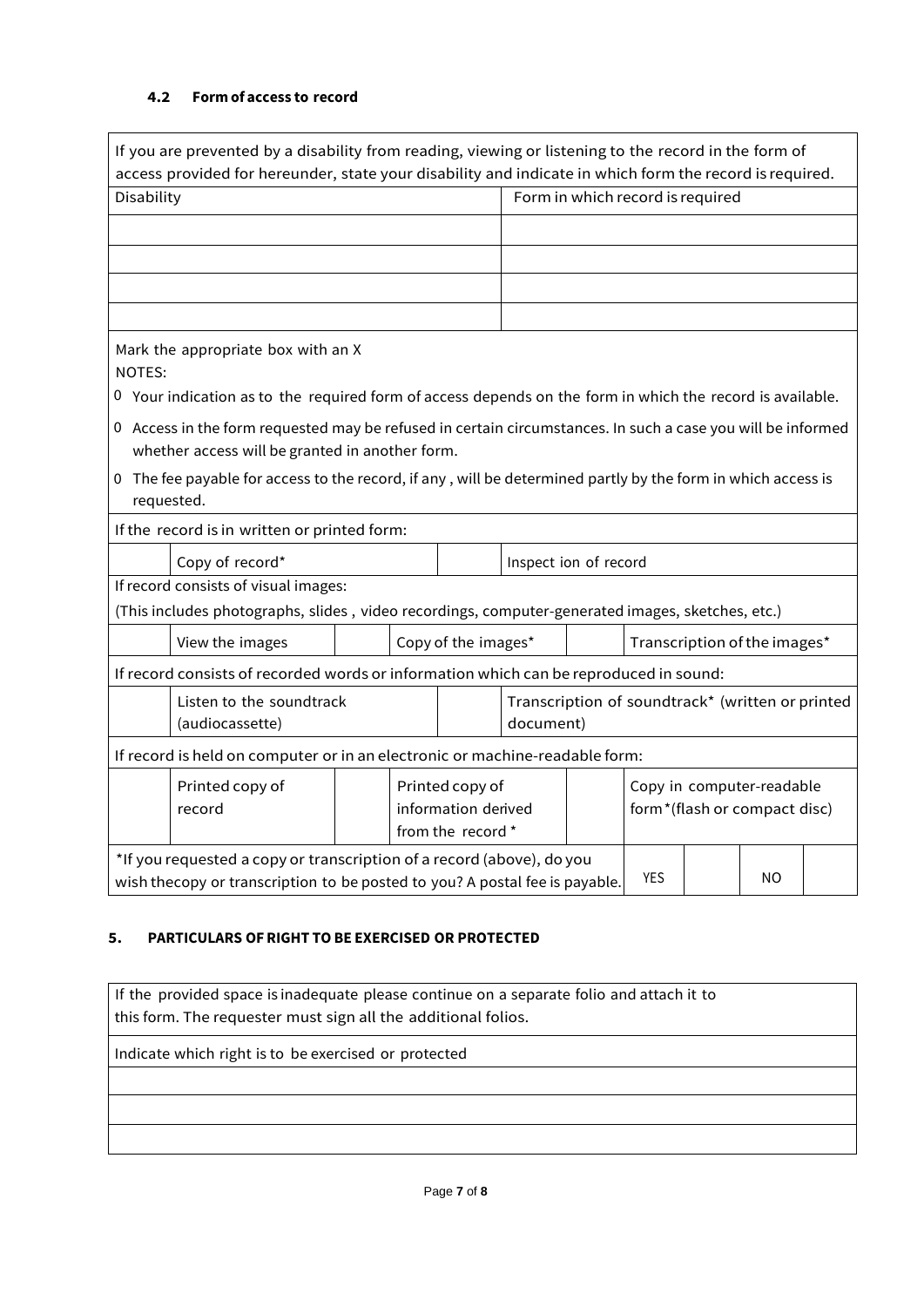#### **4.2 Form of access to record**

|                                                                                                                                                                           | If you are prevented by a disability from reading, viewing or listening to the record in the form of<br>access provided for hereunder, state your disability and indicate in which form the record is required. |  |                                                             |                                                               |                                  |                                                           |  |  |  |
|---------------------------------------------------------------------------------------------------------------------------------------------------------------------------|-----------------------------------------------------------------------------------------------------------------------------------------------------------------------------------------------------------------|--|-------------------------------------------------------------|---------------------------------------------------------------|----------------------------------|-----------------------------------------------------------|--|--|--|
| Disability                                                                                                                                                                |                                                                                                                                                                                                                 |  |                                                             |                                                               | Form in which record is required |                                                           |  |  |  |
|                                                                                                                                                                           |                                                                                                                                                                                                                 |  |                                                             |                                                               |                                  |                                                           |  |  |  |
|                                                                                                                                                                           |                                                                                                                                                                                                                 |  |                                                             |                                                               |                                  |                                                           |  |  |  |
|                                                                                                                                                                           |                                                                                                                                                                                                                 |  |                                                             |                                                               |                                  |                                                           |  |  |  |
|                                                                                                                                                                           |                                                                                                                                                                                                                 |  |                                                             |                                                               |                                  |                                                           |  |  |  |
| NOTES:                                                                                                                                                                    | Mark the appropriate box with an X                                                                                                                                                                              |  |                                                             |                                                               |                                  |                                                           |  |  |  |
|                                                                                                                                                                           | $0$ Your indication as to the required form of access depends on the form in which the record is available.                                                                                                     |  |                                                             |                                                               |                                  |                                                           |  |  |  |
|                                                                                                                                                                           | 0 Access in the form requested may be refused in certain circumstances. In such a case you will be informed                                                                                                     |  |                                                             |                                                               |                                  |                                                           |  |  |  |
|                                                                                                                                                                           | whether access will be granted in another form.                                                                                                                                                                 |  |                                                             |                                                               |                                  |                                                           |  |  |  |
| requested.                                                                                                                                                                | 0 The fee payable for access to the record, if any, will be determined partly by the form in which access is                                                                                                    |  |                                                             |                                                               |                                  |                                                           |  |  |  |
|                                                                                                                                                                           | If the record is in written or printed form:                                                                                                                                                                    |  |                                                             |                                                               |                                  |                                                           |  |  |  |
|                                                                                                                                                                           | Copy of record*<br>Inspect ion of record                                                                                                                                                                        |  |                                                             |                                                               |                                  |                                                           |  |  |  |
|                                                                                                                                                                           | If record consists of visual images:                                                                                                                                                                            |  |                                                             |                                                               |                                  |                                                           |  |  |  |
|                                                                                                                                                                           | (This includes photographs, slides, video recordings, computer-generated images, sketches, etc.)                                                                                                                |  |                                                             |                                                               |                                  |                                                           |  |  |  |
|                                                                                                                                                                           | View the images                                                                                                                                                                                                 |  | Copy of the images*                                         |                                                               |                                  | Transcription of the images*                              |  |  |  |
|                                                                                                                                                                           | If record consists of recorded words or information which can be reproduced in sound:                                                                                                                           |  |                                                             |                                                               |                                  |                                                           |  |  |  |
| Listen to the soundtrack<br>(audiocassette)                                                                                                                               |                                                                                                                                                                                                                 |  |                                                             | Transcription of soundtrack* (written or printed<br>document) |                                  |                                                           |  |  |  |
| If record is held on computer or in an electronic or machine-readable form:                                                                                               |                                                                                                                                                                                                                 |  |                                                             |                                                               |                                  |                                                           |  |  |  |
|                                                                                                                                                                           | Printed copy of<br>record                                                                                                                                                                                       |  | Printed copy of<br>information derived<br>from the record * |                                                               |                                  | Copy in computer-readable<br>form*(flash or compact disc) |  |  |  |
| *If you requested a copy or transcription of a record (above), do you<br><b>YES</b><br>NO.<br>wish thecopy or transcription to be posted to you? A postal fee is payable. |                                                                                                                                                                                                                 |  |                                                             |                                                               |                                  |                                                           |  |  |  |

#### **5. PARTICULARS OFRIGHT TO BE EXERCISED OR PROTECTED**

If the provided space is inadequate please continue on a separate folio and attach it to this form. The requester must sign all the additional folios.

Indicate which right is to be exercised or protected